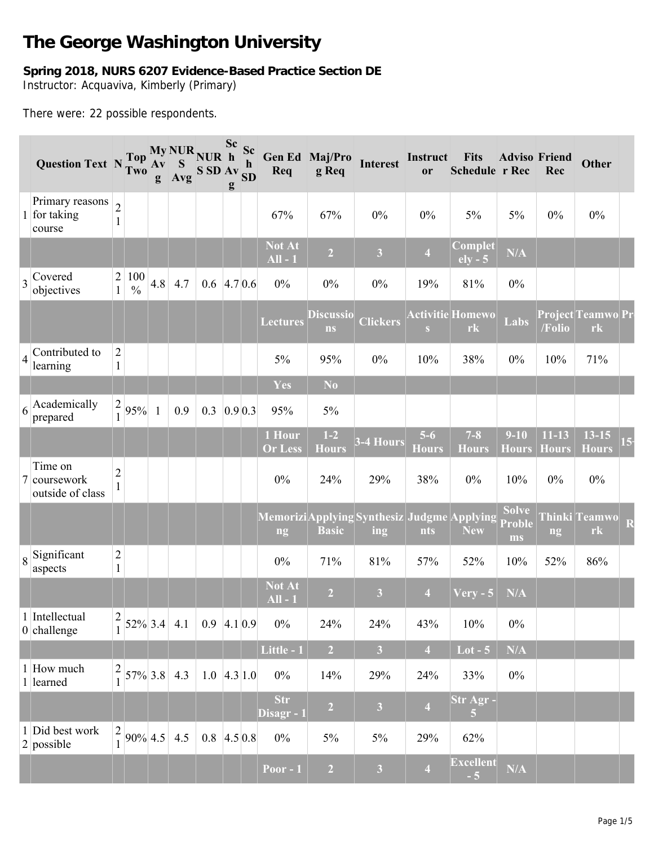## **The George Washington University**

## **Spring 2018, NURS 6207 Evidence-Based Practice Section DE** Instructor: Acquaviva, Kimberly (Primary)

There were: 22 possible respondents.

|                | Question Text N Two                         |                                        | Top                       | $A\mathbf{v}$<br>g | S<br>Avg | My NUR NUR h<br>SSDAV <sub>SD</sub> | Sc Sc<br>g | $\mathbf h$ | Req                                              | Gen Ed Maj/Pro<br>g Req       | <b>Interest</b>         | Instruct<br>or          | <b>Fits</b><br>Schedule r Rec | <b>Adviso Friend</b>                | Rec                       | <b>Other</b>                    |
|----------------|---------------------------------------------|----------------------------------------|---------------------------|--------------------|----------|-------------------------------------|------------|-------------|--------------------------------------------------|-------------------------------|-------------------------|-------------------------|-------------------------------|-------------------------------------|---------------------------|---------------------------------|
|                | Primary reasons<br>1 for taking<br>course   | $\overline{2}$<br>$\mathbf{1}$         |                           |                    |          |                                     |            |             | 67%                                              | 67%                           | $0\%$                   | $0\%$                   | $5\%$                         | 5%                                  | $0\%$                     | $0\%$                           |
|                |                                             |                                        |                           |                    |          |                                     |            |             | <b>Not At</b><br>$All - 1$                       | $\overline{2}$                | $\overline{\mathbf{3}}$ | $\overline{4}$          | Complet<br>$ely - 5$          | N/A                                 |                           |                                 |
|                | $\frac{1}{3}$ Covered<br>objectives         | $\begin{array}{c} 2 \\ 1 \end{array}$  | 100<br>$\frac{0}{0}$      | 4.8                | 4.7      | $0.6$ 4.7 0.6                       |            |             | $0\%$                                            | $0\%$                         | $0\%$                   | 19%                     | 81%                           | $0\%$                               |                           |                                 |
|                |                                             |                                        |                           |                    |          |                                     |            |             | <b>Lectures</b>                                  | <b>Discussio</b><br><b>ns</b> | <b>Clickers</b>         | S                       | <b>Activitie Homewo</b><br>rk | Labs                                | /Folio                    | Project Teamwo Pr<br>rk         |
| $\overline{4}$ | Contributed to<br>learning                  | $\overline{2}$<br>$\mathbf{1}$         |                           |                    |          |                                     |            |             | 5%                                               | 95%                           | $0\%$                   | 10%                     | 38%                           | $0\%$                               | 10%                       | 71%                             |
|                |                                             |                                        |                           |                    |          |                                     |            |             | Yes                                              | N <sub>0</sub>                |                         |                         |                               |                                     |                           |                                 |
| 6              | Academically<br>prepared                    | $\frac{2}{1}$                          | 95%                       | $\mathbf{1}$       | 0.9      | 0.3                                 | 0.9 0.3    |             | 95%                                              | 5%                            |                         |                         |                               |                                     |                           |                                 |
|                |                                             |                                        |                           |                    |          |                                     |            |             | 1 Hour<br><b>Or Less</b>                         | $1-2$<br><b>Hours</b>         | 3-4 Hours               | $5-6$<br><b>Hours</b>   | $7 - 8$<br><b>Hours</b>       | $9 - 10$<br><b>Hours</b>            | $11 - 13$<br><b>Hours</b> | $13 - 15$<br><b>Hours</b>       |
|                | Time on<br>7 coursework<br>outside of class | $\overline{c}$<br>$\mathbf{1}$         |                           |                    |          |                                     |            |             | $0\%$                                            | 24%                           | 29%                     | 38%                     | $0\%$                         | 10%                                 | $0\%$                     | $0\%$                           |
|                |                                             |                                        |                           |                    |          |                                     |            |             | MemoriziApplying Synthesiz Judgme Applying<br>ng | <b>Basic</b>                  | ing                     | nts                     | <b>New</b>                    | <b>Solve</b><br><b>Proble</b><br>ms | ng                        | Thinki Teamwo<br>r <sub>k</sub> |
|                | $\frac{1}{8}$ Significant<br>aspects        | $\overline{c}$<br>$\mathbf{1}$         |                           |                    |          |                                     |            |             | $0\%$                                            | 71%                           | 81%                     | 57%                     | 52%                           | 10%                                 | 52%                       | 86%                             |
|                |                                             |                                        |                           |                    |          |                                     |            |             | <b>Not At</b><br>$All - 1$                       | $\overline{2}$                | $\overline{\mathbf{3}}$ | $\overline{4}$          | $Very - 5$                    | $\overline{\text{N/A}}$             |                           |                                 |
|                | 1 Intellectual<br>$0$ challenge             | $\frac{2}{1}$                          | $52\%$ 3.4 4.1            |                    |          | $0.9$ 4.1 0.9                       |            |             | $0\%$                                            | 24%                           | 24%                     | 43%                     | 10%                           | $0\%$                               |                           |                                 |
|                |                                             |                                        |                           |                    |          |                                     |            |             | Little - 1                                       | $\overline{2}$                | $\overline{\mathbf{3}}$ | $\overline{4}$          | $Lot - 5$                     | N/A                                 |                           |                                 |
|                | 1 How much<br>1 learned                     |                                        | $\frac{2}{1}$ 57% 3.8 4.3 |                    |          | $1.0 \, 4.3 \, 1.0$                 |            |             | $0\%$                                            | 14%                           | 29%                     | 24%                     | 33%                           | $0\%$                               |                           |                                 |
|                |                                             |                                        |                           |                    |          |                                     |            |             | <b>Str</b><br>Disagr - 1                         | $\overline{2}$                | $\overline{\mathbf{3}}$ | $\overline{\mathbf{4}}$ | Str Agr-<br>$\overline{5}$    |                                     |                           |                                 |
|                | 1 Did best work<br>$2$ possible             | $\begin{bmatrix} 2 \\ 1 \end{bmatrix}$ | $90\%$ 4.5 4.5            |                    |          | $0.8$ 4.5 0.8                       |            |             | $0\%$                                            | $5\%$                         | $5\%$                   | 29%                     | 62%                           |                                     |                           |                                 |
|                |                                             |                                        |                           |                    |          |                                     |            |             | Poor - $1$                                       | $\overline{2}$                | $\overline{\mathbf{3}}$ | $\overline{\mathbf{4}}$ | <b>Excellent</b><br>$-5$      | $\mathbf{N}/\mathbf{A}$             |                           |                                 |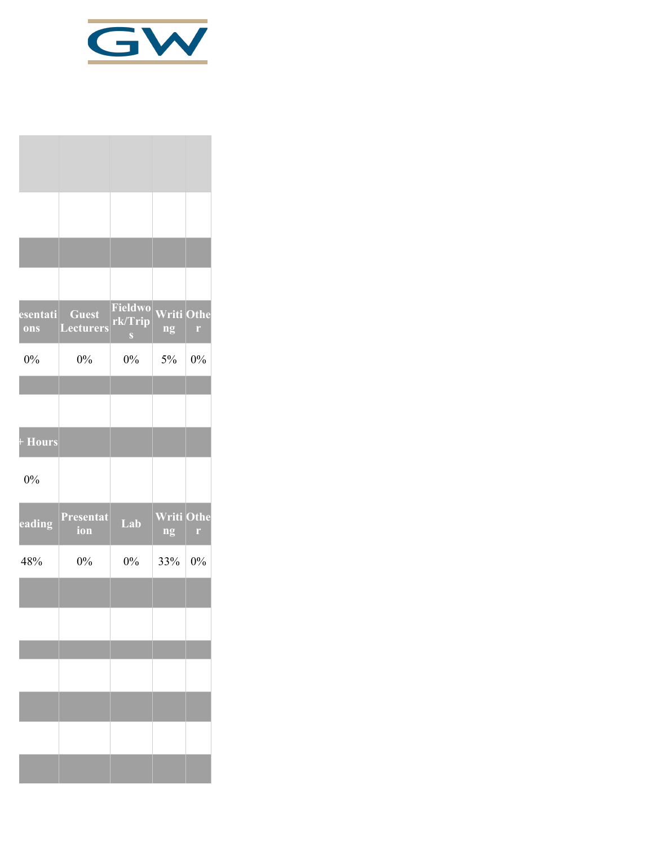

| esentati<br>ons | <b>Guest</b><br><b>Lecturers</b> | Fieldwo<br>rk/Trip<br>$\mathbf{S}$ | <b>Writi Othe</b><br>ng | $\Gamma$ |
|-----------------|----------------------------------|------------------------------------|-------------------------|----------|
| $0\%$           | $0\%$                            | 0%                                 | 5%                      | 0%       |
|                 |                                  |                                    |                         |          |
| + Hours         |                                  |                                    |                         |          |
| 0%              |                                  |                                    |                         |          |
| eading          | Presentat<br>ion                 | Lab                                | <b>Writi Othe</b><br>ng | r        |
| 48%             | $0\%$                            | $0\%$                              | 33%                     | $0\%$    |
|                 |                                  |                                    |                         |          |
|                 |                                  |                                    |                         |          |
|                 |                                  |                                    |                         |          |
|                 |                                  |                                    |                         |          |
|                 |                                  |                                    |                         |          |
|                 |                                  |                                    |                         |          |
|                 |                                  |                                    |                         |          |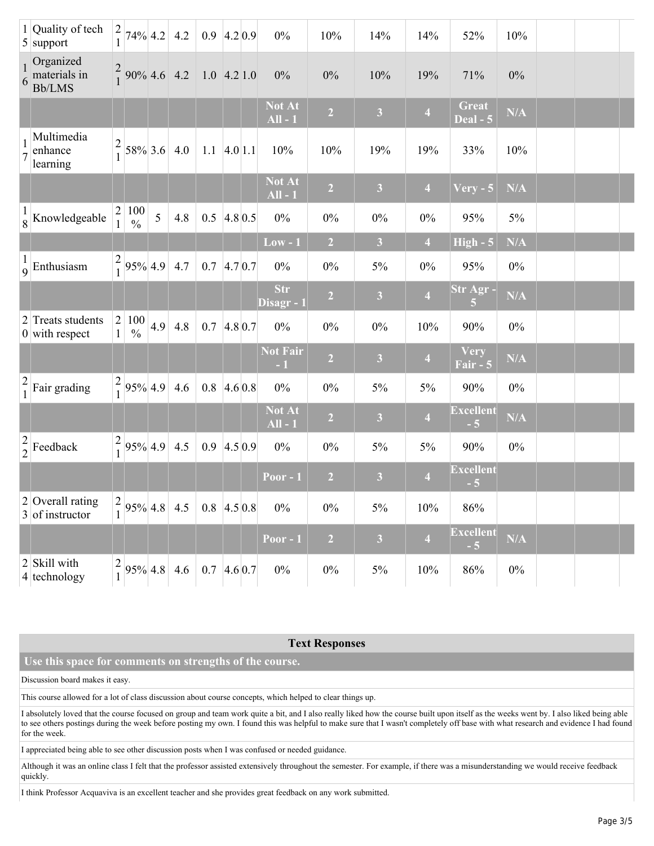|                                       | 1 Quality of tech<br>$5$ support                  | $\frac{2}{1}$                  | 74% 4.2                   |     | 4.2     | $0.9$ 4.2 0.9       |            | $0\%$                      | 10%            | 14%                     | 14%                     | 52%                             | 10%                     |  |  |
|---------------------------------------|---------------------------------------------------|--------------------------------|---------------------------|-----|---------|---------------------|------------|----------------------------|----------------|-------------------------|-------------------------|---------------------------------|-------------------------|--|--|
|                                       | Organized<br>$\frac{1}{6}$ materials in<br>Bb/LMS |                                | $\frac{2}{1}$ 90% 4.6 4.2 |     |         | $1.0$ 4.2 1.0       |            | $0\%$                      | 0%             | 10%                     | 19%                     | 71%                             | $0\%$                   |  |  |
|                                       |                                                   |                                |                           |     |         |                     |            | Not At<br>$All - 1$        | $\overline{2}$ | 3 <sup>1</sup>          | $\overline{\mathbf{4}}$ | <b>Great</b><br><b>Deal - 5</b> | N/A                     |  |  |
|                                       | Multimedia<br>enhance<br>learning                 | $\overline{c}$                 | 58% 3.6                   |     | 4.0     | $1.1 \, 4.0 \, 1.1$ |            | 10%                        | 10%            | 19%                     | 19%                     | 33%                             | 10%                     |  |  |
|                                       |                                                   |                                |                           |     |         |                     |            | <b>Not At</b><br>$All - 1$ | $\overline{2}$ | $\overline{\mathbf{3}}$ | $\overline{4}$          | $Very - 5$                      | N/A                     |  |  |
|                                       | $\frac{1}{8}$ Knowledgeable                       | 2<br>1                         | 100<br>$\frac{0}{0}$      | 5   | 4.8     | 0.5                 | $4.8\,0.5$ | $0\%$                      | $0\%$          | $0\%$                   | $0\%$                   | 95%                             | $5\%$                   |  |  |
|                                       |                                                   |                                |                           |     |         |                     |            | $Low - 1$                  | $\overline{2}$ | $\overline{\mathbf{3}}$ | $\overline{4}$          | $High - 5$                      | N/A                     |  |  |
|                                       | $\frac{1}{9}$ Enthusiasm                          | $\frac{2}{1}$                  | 95% 4.9                   |     | 4.7     | 0.7                 | 4.70.7     | $0\%$                      | $0\%$          | 5%                      | $0\%$                   | 95%                             | $0\%$                   |  |  |
|                                       |                                                   |                                |                           |     |         |                     |            | <b>Str</b><br>Disagr - 1   | $\overline{2}$ | $\mathbf{3}$            | $\overline{\mathbf{4}}$ | Str Agr-<br>$\overline{5}$      | $\mathbf{N}/\mathbf{A}$ |  |  |
|                                       | 2 Treats students<br>$0$ with respect             | $\overline{c}$<br>$\mathbf{1}$ | 100<br>$\%$               | 4.9 | $4.8\,$ | 0.7                 | $4.8\,0.7$ | $0\%$                      | $0\%$          | $0\%$                   | 10%                     | 90%                             | $0\%$                   |  |  |
|                                       |                                                   |                                |                           |     |         |                     |            | <b>Not Fair</b><br>$-1$    | $\overline{2}$ | $\overline{\mathbf{3}}$ | $\overline{\mathbf{4}}$ | Very<br>Fair - 5                | N/A                     |  |  |
| $\begin{array}{c} 2 \\ 1 \end{array}$ | Fair grading                                      | $\frac{2}{1}$                  | 95% 4.9                   |     | 4.6     | 0.8                 | 4.60.8     | $0\%$                      | $0\%$          | 5%                      | $5\%$                   | 90%                             | $0\%$                   |  |  |
|                                       |                                                   |                                |                           |     |         |                     |            | Not At<br>$All - 1$        | $\overline{2}$ | $\mathbf{3}$            | $\overline{\mathbf{4}}$ | <b>Excellent</b><br>$-5$        | N/A                     |  |  |
|                                       | $\frac{2}{2}$ Feedback                            | $\frac{2}{1}$                  | 95% 4.9                   |     | 4.5     | 0.9                 | 4.50.9     | $0\%$                      | $0\%$          | 5%                      | $5\%$                   | 90%                             | $0\%$                   |  |  |
|                                       |                                                   |                                |                           |     |         |                     |            | <b>Poor - 1</b>            | $\overline{2}$ | $\overline{\mathbf{3}}$ | $\overline{4}$          | <b>Excellent</b><br>$-5$        |                         |  |  |
|                                       | $2$ Overall rating<br>3 of instructor             | $\left 2\right _0$             | $95\%$ 4.8 4.5            |     |         | $0.8$ 4.5 0.8       |            | $0\%$                      | $0\%$          | 5%                      | 10%                     | 86%                             |                         |  |  |
|                                       |                                                   |                                |                           |     |         |                     |            | Poor $-1$                  | $\overline{2}$ | $\overline{\mathbf{3}}$ | $\overline{4}$          | <b>Excellent</b><br>$-5$        | N/A                     |  |  |
|                                       | 2 Skill with<br>4 technology                      | $\frac{2}{1}$                  | $95\%$ 4.8 4.6            |     |         | $0.7$ 4.6 0.7       |            | $0\%$                      | $0\%$          | $5\%$                   | 10%                     | 86%                             | $0\%$                   |  |  |

## **Text Responses**

## **Use this space for comments on strengths of the course.**

Discussion board makes it easy.

This course allowed for a lot of class discussion about course concepts, which helped to clear things up.

I absolutely loved that the course focused on group and team work quite a bit, and I also really liked how the course built upon itself as the weeks went by. I also liked being able to see others postings during the week before posting my own. I found this was helpful to make sure that I wasn't completely off base with what research and evidence I had found for the week.

I appreciated being able to see other discussion posts when I was confused or needed guidance.

Although it was an online class I felt that the professor assisted extensively throughout the semester. For example, if there was a misunderstanding we would receive feedback quickly.

I think Professor Acquaviva is an excellent teacher and she provides great feedback on any work submitted.